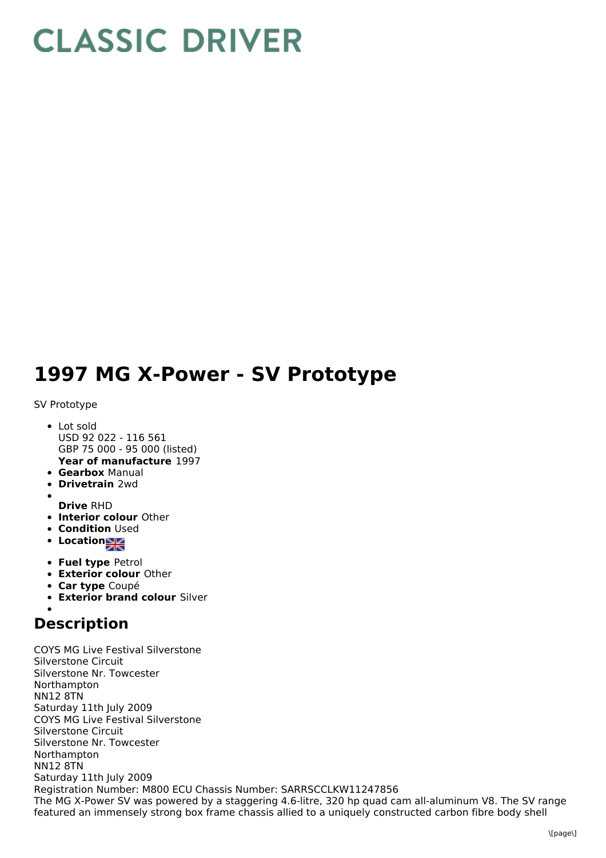## **CLASSIC DRIVER**

## **1997 MG X-Power - SV Prototype**

## SV Prototype

- **Year of manufacture** 1997 • Lot sold USD 92 022 - 116 561 GBP 75 000 - 95 000 (listed)
- **Gearbox** Manual
- **Drivetrain** 2wd
- 
- **Drive** RHD
- **Interior colour** Other
- **Condition Used**
- Location
- **Fuel type** Petrol
- **Exterior colour** Other
- **Car type** Coupé
- **Exterior brand colour** Silver

## **Description**

COYS MG Live Festival Silverstone Silverstone Circuit Silverstone Nr. Towcester Northampton NN12 8TN Saturday 11th July 2009 COYS MG Live Festival Silverstone Silverstone Circuit Silverstone Nr. Towcester Northampton NN12 8TN Saturday 11th July 2009 Registration Number: M800 ECU Chassis Number: SARRSCCLKW11247856 The MG X-Power SV was powered by a staggering 4.6-litre, 320 hp quad cam all-aluminum V8. The SV range featured an immensely strong box frame chassis allied to a uniquely constructed carbon fibre body shell